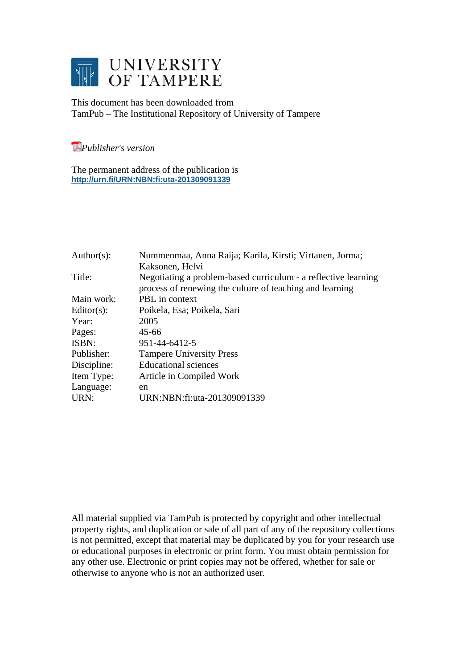

This document has been downloaded from TamPub – The Institutional Repository of University of Tampere

*Publisher's version* 

The permanent address of the publication is **http://urn.fi/URN:NBN:fi:uta-201309091339**

| Nummenmaa, Anna Raija; Karila, Kirsti; Virtanen, Jorma;                                                                    |
|----------------------------------------------------------------------------------------------------------------------------|
| Kaksonen, Helvi                                                                                                            |
| Negotiating a problem-based curriculum - a reflective learning<br>process of renewing the culture of teaching and learning |
| PBL in context                                                                                                             |
| Poikela, Esa; Poikela, Sari                                                                                                |
| 2005                                                                                                                       |
| 45-66                                                                                                                      |
| 951-44-6412-5                                                                                                              |
| <b>Tampere University Press</b>                                                                                            |
| <b>Educational sciences</b>                                                                                                |
| Article in Compiled Work                                                                                                   |
| en                                                                                                                         |
| URN:NBN:fi:uta-201309091339                                                                                                |
|                                                                                                                            |

All material supplied via TamPub is protected by copyright and other intellectual property rights, and duplication or sale of all part of any of the repository collections is not permitted, except that material may be duplicated by you for your research use or educational purposes in electronic or print form. You must obtain permission for any other use. Electronic or print copies may not be offered, whether for sale or otherwise to anyone who is not an authorized user.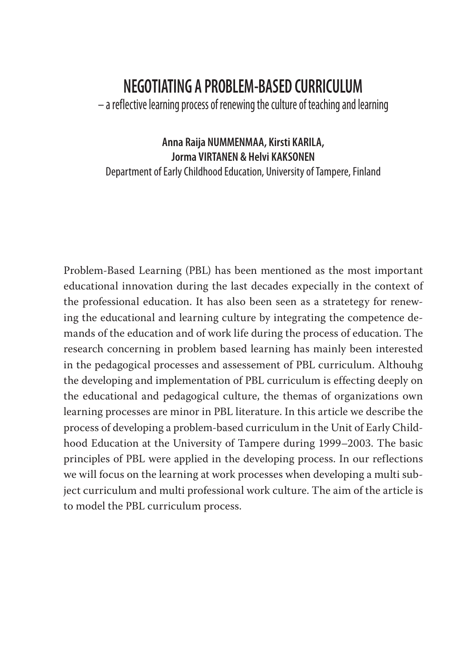# **NEGOTIATING A PROBLEM-BASED CURRICULUM**

– a reflective learning process of renewing the culture of teaching and learning

#### **Anna Raija NUMMENMAA, Kirsti KARILA, Jorma VIRTANEN & Helvi KAKSONEN**

Department of Early Childhood Education, University of Tampere, Finland

Problem-Based Learning (PBL) has been mentioned as the most important educational innovation during the last decades expecially in the context of the professional education. It has also been seen as a stratetegy for renewing the educational and learning culture by integrating the competence demands of the education and of work life during the process of education. The research concerning in problem based learning has mainly been interested in the pedagogical processes and assessement of PBL curriculum. Althouhg the developing and implementation of PBL curriculum is effecting deeply on the educational and pedagogical culture, the themas of organizations own learning processes are minor in PBL literature. In this article we describe the process of developing a problem-based curriculum in the Unit of Early Childhood Education at the University of Tampere during 1999–2003. The basic principles of PBL were applied in the developing process. In our reflections we will focus on the learning at work processes when developing a multi subject curriculum and multi professional work culture. The aim of the article is to model the PBL curriculum process.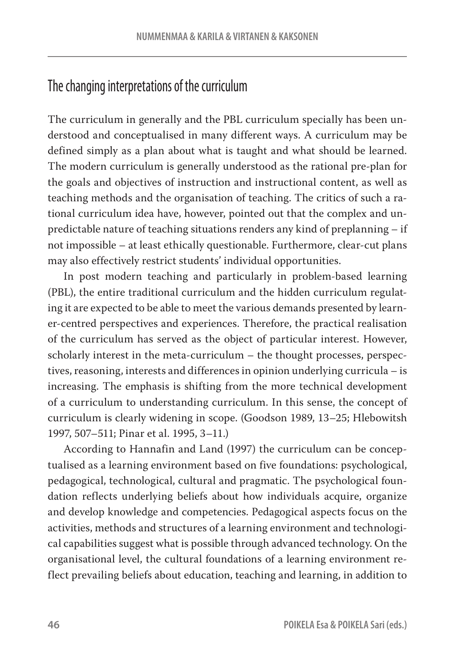### The changing interpretations of the curriculum

The curriculum in generally and the PBL curriculum specially has been understood and conceptualised in many different ways. A curriculum may be defined simply as a plan about what is taught and what should be learned. The modern curriculum is generally understood as the rational pre-plan for the goals and objectives of instruction and instructional content, as well as teaching methods and the organisation of teaching. The critics of such a rational curriculum idea have, however, pointed out that the complex and unpredictable nature of teaching situations renders any kind of preplanning – if not impossible – at least ethically questionable. Furthermore, clear-cut plans may also effectively restrict students' individual opportunities.

In post modern teaching and particularly in problem-based learning (PBL), the entire traditional curriculum and the hidden curriculum regulating it are expected to be able to meet the various demands presented by learner-centred perspectives and experiences. Therefore, the practical realisation of the curriculum has served as the object of particular interest. However, scholarly interest in the meta-curriculum – the thought processes, perspectives, reasoning, interests and differences in opinion underlying curricula – is increasing. The emphasis is shifting from the more technical development of a curriculum to understanding curriculum. In this sense, the concept of curriculum is clearly widening in scope. (Goodson 1989, 13–25; Hlebowitsh 1997, 507–511; Pinar et al. 1995, 3–11.)

According to Hannafin and Land (1997) the curriculum can be conceptualised as a learning environment based on five foundations: psychological, pedagogical, technological, cultural and pragmatic. The psychological foundation reflects underlying beliefs about how individuals acquire, organize and develop knowledge and competencies. Pedagogical aspects focus on the activities, methods and structures of a learning environment and technological capabilities suggest what is possible through advanced technology. On the organisational level, the cultural foundations of a learning environment reflect prevailing beliefs about education, teaching and learning, in addition to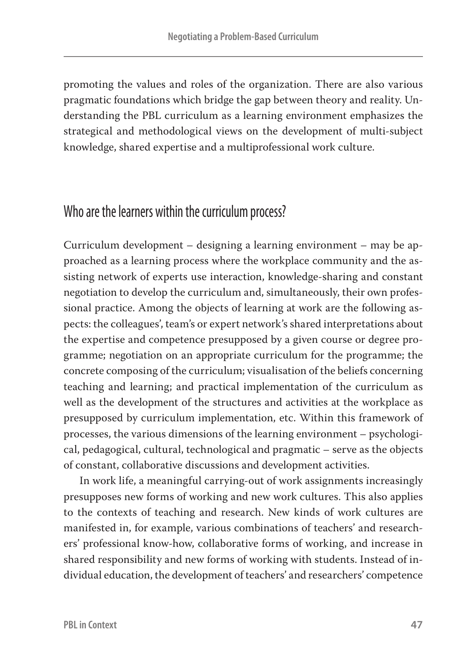promoting the values and roles of the organization. There are also various pragmatic foundations which bridge the gap between theory and reality. Understanding the PBL curriculum as a learning environment emphasizes the strategical and methodological views on the development of multi-subject knowledge, shared expertise and a multiprofessional work culture.

### Who are the learners within the curriculum process?

Curriculum development – designing a learning environment – may be approached as a learning process where the workplace community and the assisting network of experts use interaction, knowledge-sharing and constant negotiation to develop the curriculum and, simultaneously, their own professional practice. Among the objects of learning at work are the following aspects: the colleagues', team's or expert network's shared interpretations about the expertise and competence presupposed by a given course or degree programme; negotiation on an appropriate curriculum for the programme; the concrete composing of the curriculum; visualisation of the beliefs concerning teaching and learning; and practical implementation of the curriculum as well as the development of the structures and activities at the workplace as presupposed by curriculum implementation, etc. Within this framework of processes, the various dimensions of the learning environment – psychological, pedagogical, cultural, technological and pragmatic – serve as the objects of constant, collaborative discussions and development activities.

In work life, a meaningful carrying-out of work assignments increasingly presupposes new forms of working and new work cultures. This also applies to the contexts of teaching and research. New kinds of work cultures are manifested in, for example, various combinations of teachers' and researchers' professional know-how, collaborative forms of working, and increase in shared responsibility and new forms of working with students. Instead of individual education, the development of teachers' and researchers' competence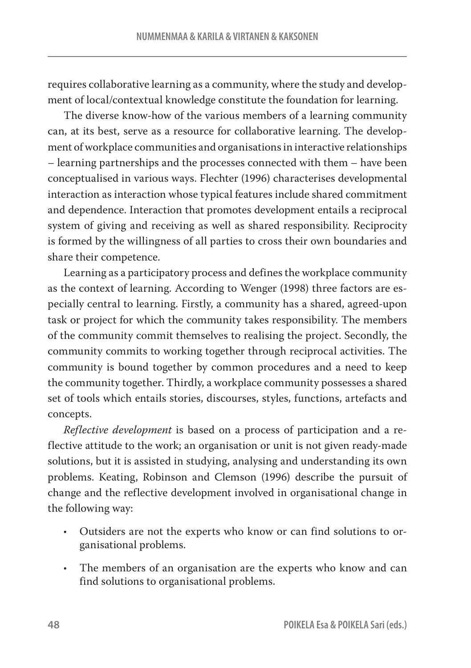requires collaborative learning as a community, where the study and development of local/contextual knowledge constitute the foundation for learning.

The diverse know-how of the various members of a learning community can, at its best, serve as a resource for collaborative learning. The development of workplace communities and organisations in interactive relationships – learning partnerships and the processes connected with them – have been conceptualised in various ways. Flechter (1996) characterises developmental interaction as interaction whose typical features include shared commitment and dependence. Interaction that promotes development entails a reciprocal system of giving and receiving as well as shared responsibility. Reciprocity is formed by the willingness of all parties to cross their own boundaries and share their competence.

Learning as a participatory process and defines the workplace community as the context of learning. According to Wenger (1998) three factors are especially central to learning. Firstly, a community has a shared, agreed-upon task or project for which the community takes responsibility. The members of the community commit themselves to realising the project. Secondly, the community commits to working together through reciprocal activities. The community is bound together by common procedures and a need to keep the community together. Thirdly, a workplace community possesses a shared set of tools which entails stories, discourses, styles, functions, artefacts and concepts.

*Reflective development* is based on a process of participation and a reflective attitude to the work; an organisation or unit is not given ready-made solutions, but it is assisted in studying, analysing and understanding its own problems. Keating, Robinson and Clemson (1996) describe the pursuit of change and the reflective development involved in organisational change in the following way:

- **•** Outsiders are not the experts who know or can find solutions to organisational problems.
- **•** The members of an organisation are the experts who know and can find solutions to organisational problems.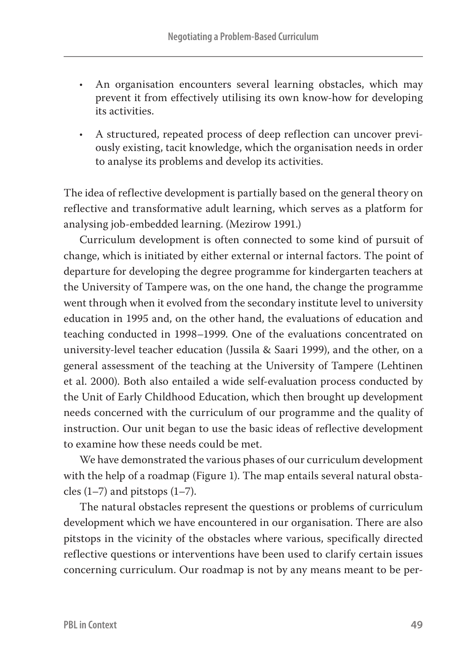- **•** An organisation encounters several learning obstacles, which may prevent it from effectively utilising its own know-how for developing its activities.
- **•** A structured, repeated process of deep reflection can uncover previously existing, tacit knowledge, which the organisation needs in order to analyse its problems and develop its activities.

The idea of reflective development is partially based on the general theory on reflective and transformative adult learning, which serves as a platform for analysing job-embedded learning. (Mezirow 1991.)

Curriculum development is often connected to some kind of pursuit of change, which is initiated by either external or internal factors. The point of departure for developing the degree programme for kindergarten teachers at the University of Tampere was, on the one hand, the change the programme went through when it evolved from the secondary institute level to university education in 1995 and, on the other hand, the evaluations of education and teaching conducted in 1998–1999. One of the evaluations concentrated on university-level teacher education (Jussila & Saari 1999), and the other, on a general assessment of the teaching at the University of Tampere (Lehtinen et al. 2000). Both also entailed a wide self-evaluation process conducted by the Unit of Early Childhood Education, which then brought up development needs concerned with the curriculum of our programme and the quality of instruction. Our unit began to use the basic ideas of reflective development to examine how these needs could be met.

We have demonstrated the various phases of our curriculum development with the help of a roadmap (Figure 1). The map entails several natural obstacles  $(1-7)$  and pitstops  $(1-7)$ .

The natural obstacles represent the questions or problems of curriculum development which we have encountered in our organisation. There are also pitstops in the vicinity of the obstacles where various, specifically directed reflective questions or interventions have been used to clarify certain issues concerning curriculum. Our roadmap is not by any means meant to be per-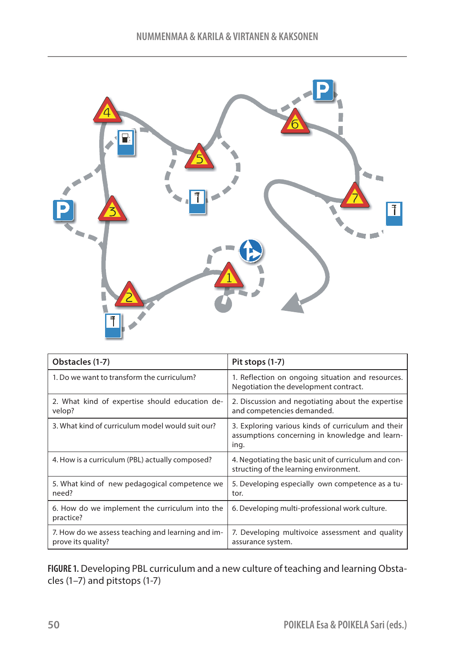

| Obstacles (1-7)                                                         | Pit stops (1-7)                                                                                              |
|-------------------------------------------------------------------------|--------------------------------------------------------------------------------------------------------------|
| 1. Do we want to transform the curriculum?                              | 1. Reflection on ongoing situation and resources.<br>Negotiation the development contract.                   |
| 2. What kind of expertise should education de-<br>velop?                | 2. Discussion and negotiating about the expertise<br>and competencies demanded.                              |
| 3. What kind of curriculum model would suit our?                        | 3. Exploring various kinds of curriculum and their<br>assumptions concerning in knowledge and learn-<br>ing. |
| 4. How is a curriculum (PBL) actually composed?                         | 4. Negotiating the basic unit of curriculum and con-<br>structing of the learning environment.               |
| 5. What kind of new pedagogical competence we<br>need?                  | 5. Developing especially own competence as a tu-<br>tor.                                                     |
| 6. How do we implement the curriculum into the<br>practice?             | 6. Developing multi-professional work culture.                                                               |
| 7. How do we assess teaching and learning and im-<br>prove its quality? | 7. Developing multivoice assessment and quality<br>assurance system.                                         |

**FIGURE 1.** Developing PBL curriculum and a new culture of teaching and learning Obstacles (1–7) and pitstops (1-7)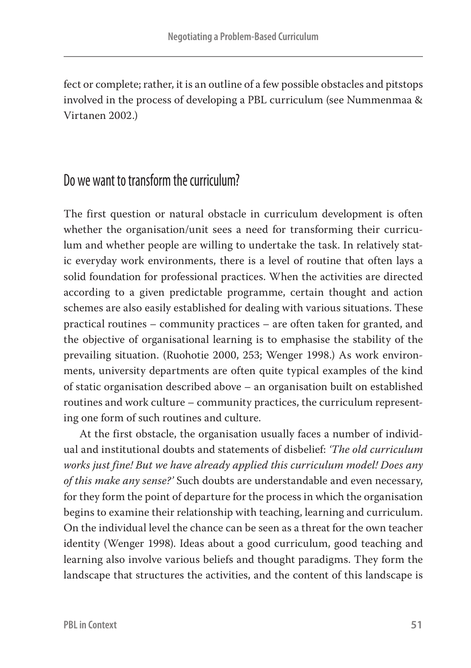fect or complete; rather, it is an outline of a few possible obstacles and pitstops involved in the process of developing a PBL curriculum (see Nummenmaa & Virtanen 2002.)

## Do we want to transform the curriculum?

The first question or natural obstacle in curriculum development is often whether the organisation/unit sees a need for transforming their curriculum and whether people are willing to undertake the task. In relatively static everyday work environments, there is a level of routine that often lays a solid foundation for professional practices. When the activities are directed according to a given predictable programme, certain thought and action schemes are also easily established for dealing with various situations. These practical routines – community practices – are often taken for granted, and the objective of organisational learning is to emphasise the stability of the prevailing situation. (Ruohotie 2000, 253; Wenger 1998.) As work environments, university departments are often quite typical examples of the kind of static organisation described above – an organisation built on established routines and work culture – community practices, the curriculum representing one form of such routines and culture.

At the first obstacle, the organisation usually faces a number of individual and institutional doubts and statements of disbelief: *'The old curriculum works just fine! But we have already applied this curriculum model! Does any of this make any sense?'* Such doubts are understandable and even necessary, for they form the point of departure for the process in which the organisation begins to examine their relationship with teaching, learning and curriculum. On the individual level the chance can be seen as a threat for the own teacher identity (Wenger 1998). Ideas about a good curriculum, good teaching and learning also involve various beliefs and thought paradigms. They form the landscape that structures the activities, and the content of this landscape is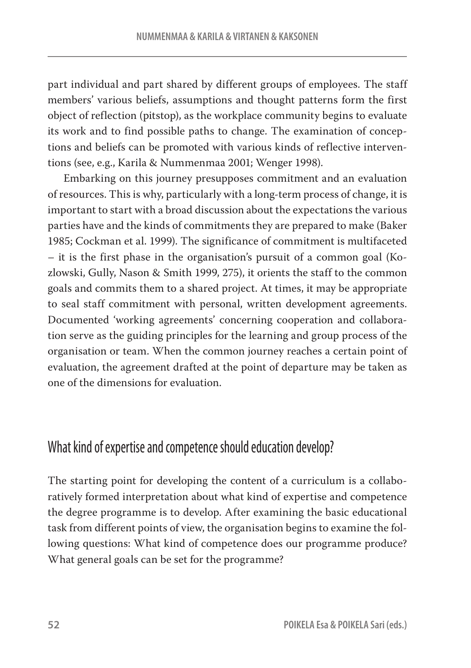part individual and part shared by different groups of employees. The staff members' various beliefs, assumptions and thought patterns form the first object of reflection (pitstop), as the workplace community begins to evaluate its work and to find possible paths to change. The examination of conceptions and beliefs can be promoted with various kinds of reflective interventions (see, e.g., Karila & Nummenmaa 2001; Wenger 1998).

Embarking on this journey presupposes commitment and an evaluation of resources. This is why, particularly with a long-term process of change, it is important to start with a broad discussion about the expectations the various parties have and the kinds of commitments they are prepared to make (Baker 1985; Cockman et al. 1999). The significance of commitment is multifaceted – it is the first phase in the organisation's pursuit of a common goal (Kozlowski, Gully, Nason & Smith 1999, 275), it orients the staff to the common goals and commits them to a shared project. At times, it may be appropriate to seal staff commitment with personal, written development agreements. Documented 'working agreements' concerning cooperation and collaboration serve as the guiding principles for the learning and group process of the organisation or team. When the common journey reaches a certain point of evaluation, the agreement drafted at the point of departure may be taken as one of the dimensions for evaluation.

### What kind of expertise and competence should education develop?

The starting point for developing the content of a curriculum is a collaboratively formed interpretation about what kind of expertise and competence the degree programme is to develop. After examining the basic educational task from different points of view, the organisation begins to examine the following questions: What kind of competence does our programme produce? What general goals can be set for the programme?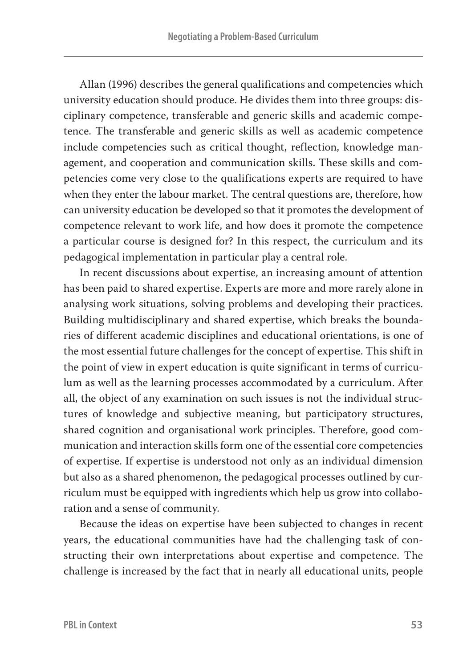Allan (1996) describes the general qualifications and competencies which university education should produce. He divides them into three groups: disciplinary competence, transferable and generic skills and academic competence. The transferable and generic skills as well as academic competence include competencies such as critical thought, reflection, knowledge management, and cooperation and communication skills. These skills and competencies come very close to the qualifications experts are required to have when they enter the labour market. The central questions are, therefore, how can university education be developed so that it promotes the development of competence relevant to work life, and how does it promote the competence a particular course is designed for? In this respect, the curriculum and its pedagogical implementation in particular play a central role.

In recent discussions about expertise, an increasing amount of attention has been paid to shared expertise. Experts are more and more rarely alone in analysing work situations, solving problems and developing their practices. Building multidisciplinary and shared expertise, which breaks the boundaries of different academic disciplines and educational orientations, is one of the most essential future challenges for the concept of expertise. This shift in the point of view in expert education is quite significant in terms of curriculum as well as the learning processes accommodated by a curriculum. After all, the object of any examination on such issues is not the individual structures of knowledge and subjective meaning, but participatory structures, shared cognition and organisational work principles. Therefore, good communication and interaction skills form one of the essential core competencies of expertise. If expertise is understood not only as an individual dimension but also as a shared phenomenon, the pedagogical processes outlined by curriculum must be equipped with ingredients which help us grow into collaboration and a sense of community.

Because the ideas on expertise have been subjected to changes in recent years, the educational communities have had the challenging task of constructing their own interpretations about expertise and competence. The challenge is increased by the fact that in nearly all educational units, people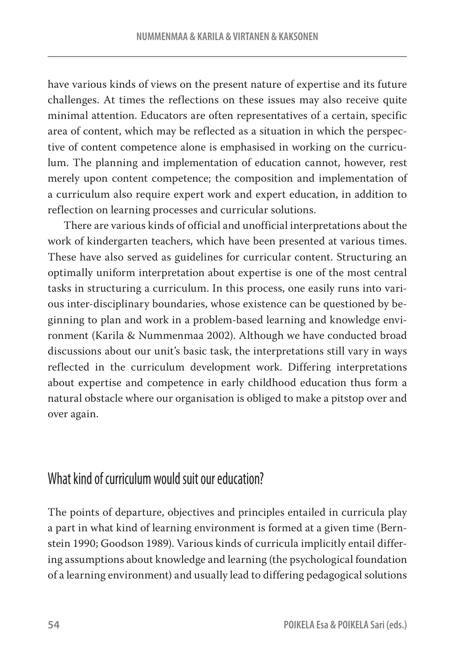have various kinds of views on the present nature of expertise and its future challenges. At times the reflections on these issues may also receive quite minimal attention. Educators are often representatives of a certain, specific area of content, which may be reflected as a situation in which the perspective of content competence alone is emphasised in working on the curriculum. The planning and implementation of education cannot, however, rest merely upon content competence; the composition and implementation of a curriculum also require expert work and expert education, in addition to reflection on learning processes and curricular solutions.

There are various kinds of official and unofficial interpretations about the work of kindergarten teachers, which have been presented at various times. These have also served as guidelines for curricular content. Structuring an optimally uniform interpretation about expertise is one of the most central tasks in structuring a curriculum. In this process, one easily runs into various inter-disciplinary boundaries, whose existence can be questioned by beginning to plan and work in a problem-based learning and knowledge environment (Karila & Nummenmaa 2002). Although we have conducted broad discussions about our unit's basic task, the interpretations still vary in ways reflected in the curriculum development work. Differing interpretations about expertise and competence in early childhood education thus form a natural obstacle where our organisation is obliged to make a pitstop over and over again.

# What kind of curriculum would suit our education?

The points of departure, objectives and principles entailed in curricula play a part in what kind of learning environment is formed at a given time (Bernstein 1990; Goodson 1989). Various kinds of curricula implicitly entail differing assumptions about knowledge and learning (the psychological foundation of a learning environment) and usually lead to differing pedagogical solutions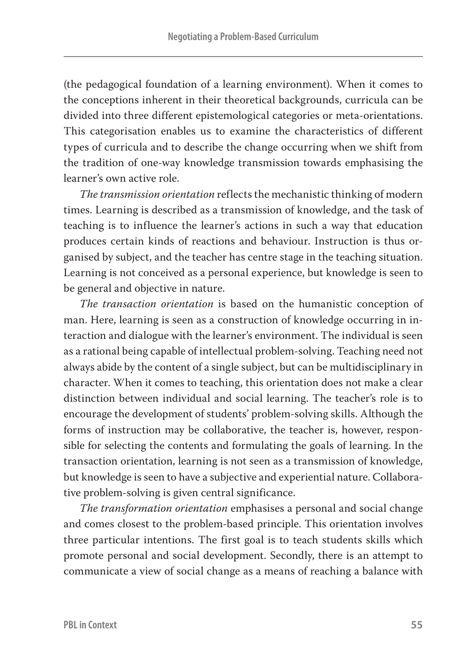(the pedagogical foundation of a learning environment). When it comes to the conceptions inherent in their theoretical backgrounds, curricula can be divided into three different epistemological categories or meta-orientations. This categorisation enables us to examine the characteristics of different types of curricula and to describe the change occurring when we shift from the tradition of one-way knowledge transmission towards emphasising the learner's own active role.

*The transmission orientation* reflects the mechanistic thinking of modern times. Learning is described as a transmission of knowledge, and the task of teaching is to influence the learner's actions in such a way that education produces certain kinds of reactions and behaviour. Instruction is thus organised by subject, and the teacher has centre stage in the teaching situation. Learning is not conceived as a personal experience, but knowledge is seen to be general and objective in nature.

*The transaction orientation* is based on the humanistic conception of man. Here, learning is seen as a construction of knowledge occurring in interaction and dialogue with the learner's environment. The individual is seen as a rational being capable of intellectual problem-solving. Teaching need not always abide by the content of a single subject, but can be multidisciplinary in character. When it comes to teaching, this orientation does not make a clear distinction between individual and social learning. The teacher's role is to encourage the development of students' problem-solving skills. Although the forms of instruction may be collaborative, the teacher is, however, responsible for selecting the contents and formulating the goals of learning. In the transaction orientation, learning is not seen as a transmission of knowledge, but knowledge is seen to have a subjective and experiential nature. Collaborative problem-solving is given central significance.

*The transformation orientation* emphasises a personal and social change and comes closest to the problem-based principle. This orientation involves three particular intentions. The first goal is to teach students skills which promote personal and social development. Secondly, there is an attempt to communicate a view of social change as a means of reaching a balance with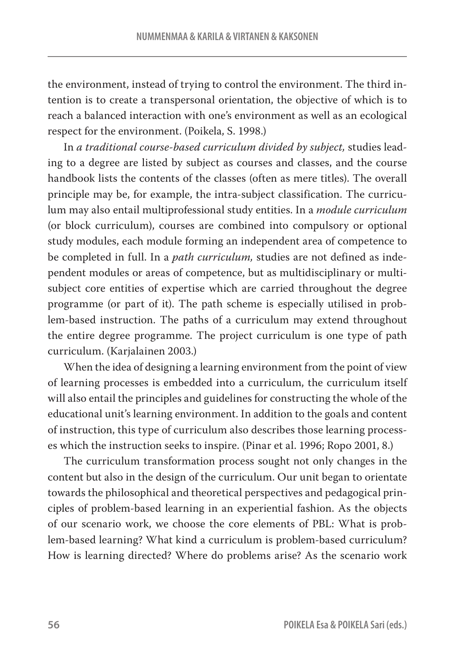the environment, instead of trying to control the environment. The third intention is to create a transpersonal orientation, the objective of which is to reach a balanced interaction with one's environment as well as an ecological respect for the environment. (Poikela, S. 1998.)

In *a traditional course-based curriculum divided by subject,* studies leading to a degree are listed by subject as courses and classes, and the course handbook lists the contents of the classes (often as mere titles). The overall principle may be, for example, the intra-subject classification. The curriculum may also entail multiprofessional study entities. In a *module curriculum* (or block curriculum), courses are combined into compulsory or optional study modules, each module forming an independent area of competence to be completed in full. In a *path curriculum,* studies are not defined as independent modules or areas of competence, but as multidisciplinary or multisubject core entities of expertise which are carried throughout the degree programme (or part of it). The path scheme is especially utilised in problem-based instruction. The paths of a curriculum may extend throughout the entire degree programme. The project curriculum is one type of path curriculum. (Karjalainen 2003.)

When the idea of designing a learning environment from the point of view of learning processes is embedded into a curriculum, the curriculum itself will also entail the principles and guidelines for constructing the whole of the educational unit's learning environment. In addition to the goals and content of instruction, this type of curriculum also describes those learning processes which the instruction seeks to inspire. (Pinar et al. 1996; Ropo 2001, 8.)

The curriculum transformation process sought not only changes in the content but also in the design of the curriculum. Our unit began to orientate towards the philosophical and theoretical perspectives and pedagogical principles of problem-based learning in an experiential fashion. As the objects of our scenario work, we choose the core elements of PBL: What is problem-based learning? What kind a curriculum is problem-based curriculum? How is learning directed? Where do problems arise? As the scenario work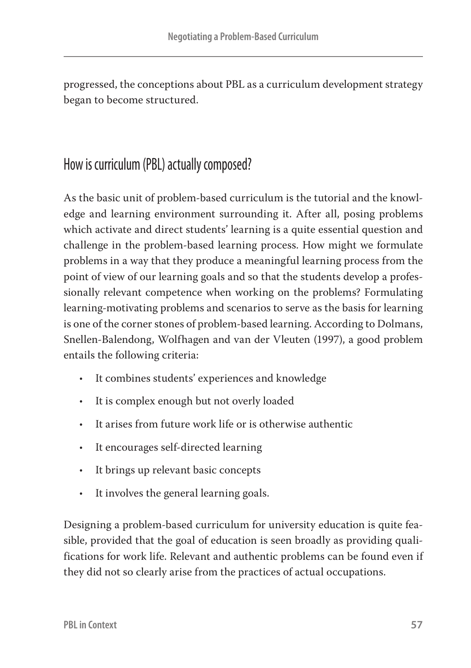progressed, the conceptions about PBL as a curriculum development strategy began to become structured.

# How is curriculum (PBL) actually composed?

As the basic unit of problem-based curriculum is the tutorial and the knowledge and learning environment surrounding it. After all, posing problems which activate and direct students' learning is a quite essential question and challenge in the problem-based learning process. How might we formulate problems in a way that they produce a meaningful learning process from the point of view of our learning goals and so that the students develop a professionally relevant competence when working on the problems? Formulating learning-motivating problems and scenarios to serve as the basis for learning is one of the corner stones of problem-based learning. According to Dolmans, Snellen-Balendong, Wolfhagen and van der Vleuten (1997), a good problem entails the following criteria:

- **•** It combines students' experiences and knowledge
- **•** It is complex enough but not overly loaded
- **•** It arises from future work life or is otherwise authentic
- **•** It encourages self-directed learning
- **•** It brings up relevant basic concepts
- **•** It involves the general learning goals.

Designing a problem-based curriculum for university education is quite feasible, provided that the goal of education is seen broadly as providing qualifications for work life. Relevant and authentic problems can be found even if they did not so clearly arise from the practices of actual occupations.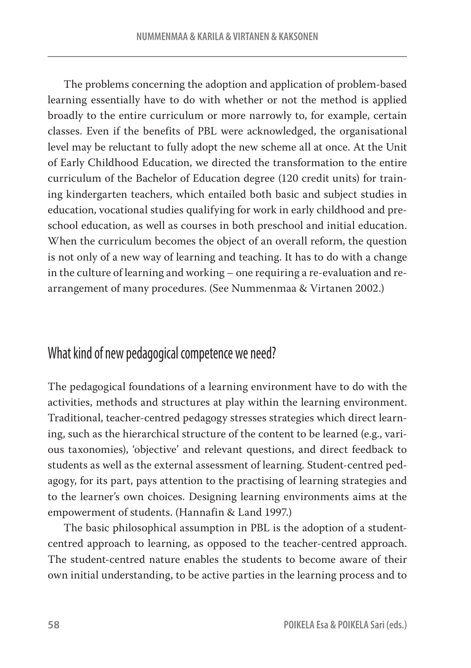The problems concerning the adoption and application of problem-based learning essentially have to do with whether or not the method is applied broadly to the entire curriculum or more narrowly to, for example, certain classes. Even if the benefits of PBL were acknowledged, the organisational level may be reluctant to fully adopt the new scheme all at once. At the Unit of Early Childhood Education, we directed the transformation to the entire curriculum of the Bachelor of Education degree (120 credit units) for training kindergarten teachers, which entailed both basic and subject studies in education, vocational studies qualifying for work in early childhood and preschool education, as well as courses in both preschool and initial education. When the curriculum becomes the object of an overall reform, the question is not only of a new way of learning and teaching. It has to do with a change in the culture of learning and working – one requiring a re-evaluation and rearrangement of many procedures. (See Nummenmaa & Virtanen 2002.)

#### What kind of new pedagogical competence we need?

The pedagogical foundations of a learning environment have to do with the activities, methods and structures at play within the learning environment. Traditional, teacher-centred pedagogy stresses strategies which direct learning, such as the hierarchical structure of the content to be learned (e.g., various taxonomies), 'objective' and relevant questions, and direct feedback to students as well as the external assessment of learning. Student-centred pedagogy, for its part, pays attention to the practising of learning strategies and to the learner's own choices. Designing learning environments aims at the empowerment of students. (Hannafin & Land 1997.)

The basic philosophical assumption in PBL is the adoption of a studentcentred approach to learning, as opposed to the teacher-centred approach. The student-centred nature enables the students to become aware of their own initial understanding, to be active parties in the learning process and to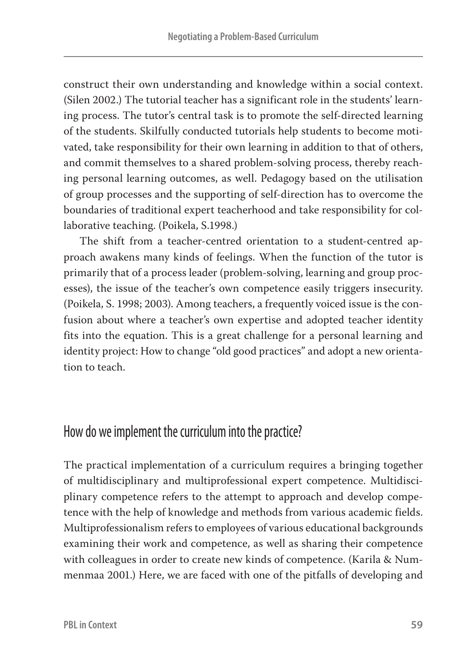construct their own understanding and knowledge within a social context. (Silen 2002.) The tutorial teacher has a significant role in the students' learning process. The tutor's central task is to promote the self-directed learning of the students. Skilfully conducted tutorials help students to become motivated, take responsibility for their own learning in addition to that of others, and commit themselves to a shared problem-solving process, thereby reaching personal learning outcomes, as well. Pedagogy based on the utilisation of group processes and the supporting of self-direction has to overcome the boundaries of traditional expert teacherhood and take responsibility for collaborative teaching. (Poikela, S.1998.)

The shift from a teacher-centred orientation to a student-centred approach awakens many kinds of feelings. When the function of the tutor is primarily that of a process leader (problem-solving, learning and group processes), the issue of the teacher's own competence easily triggers insecurity. (Poikela, S. 1998; 2003). Among teachers, a frequently voiced issue is the confusion about where a teacher's own expertise and adopted teacher identity fits into the equation. This is a great challenge for a personal learning and identity project: How to change "old good practices" and adopt a new orientation to teach.

# How do we implement the curriculum into the practice?

The practical implementation of a curriculum requires a bringing together of multidisciplinary and multiprofessional expert competence. Multidisciplinary competence refers to the attempt to approach and develop competence with the help of knowledge and methods from various academic fields. Multiprofessionalism refers to employees of various educational backgrounds examining their work and competence, as well as sharing their competence with colleagues in order to create new kinds of competence. (Karila & Nummenmaa 2001.) Here, we are faced with one of the pitfalls of developing and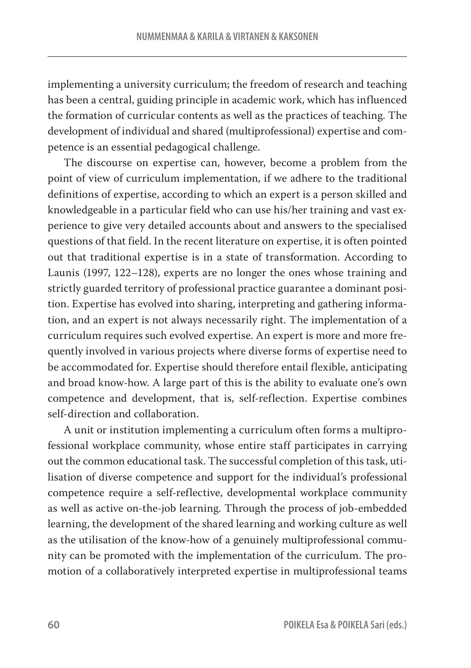implementing a university curriculum; the freedom of research and teaching has been a central, guiding principle in academic work, which has influenced the formation of curricular contents as well as the practices of teaching. The development of individual and shared (multiprofessional) expertise and competence is an essential pedagogical challenge.

The discourse on expertise can, however, become a problem from the point of view of curriculum implementation, if we adhere to the traditional definitions of expertise, according to which an expert is a person skilled and knowledgeable in a particular field who can use his/her training and vast experience to give very detailed accounts about and answers to the specialised questions of that field. In the recent literature on expertise, it is often pointed out that traditional expertise is in a state of transformation. According to Launis (1997, 122–128), experts are no longer the ones whose training and strictly guarded territory of professional practice guarantee a dominant position. Expertise has evolved into sharing, interpreting and gathering information, and an expert is not always necessarily right. The implementation of a curriculum requires such evolved expertise. An expert is more and more frequently involved in various projects where diverse forms of expertise need to be accommodated for. Expertise should therefore entail flexible, anticipating and broad know-how. A large part of this is the ability to evaluate one's own competence and development, that is, self-reflection. Expertise combines self-direction and collaboration.

A unit or institution implementing a curriculum often forms a multiprofessional workplace community, whose entire staff participates in carrying out the common educational task. The successful completion of this task, utilisation of diverse competence and support for the individual's professional competence require a self-reflective, developmental workplace community as well as active on-the-job learning. Through the process of job-embedded learning, the development of the shared learning and working culture as well as the utilisation of the know-how of a genuinely multiprofessional community can be promoted with the implementation of the curriculum. The promotion of a collaboratively interpreted expertise in multiprofessional teams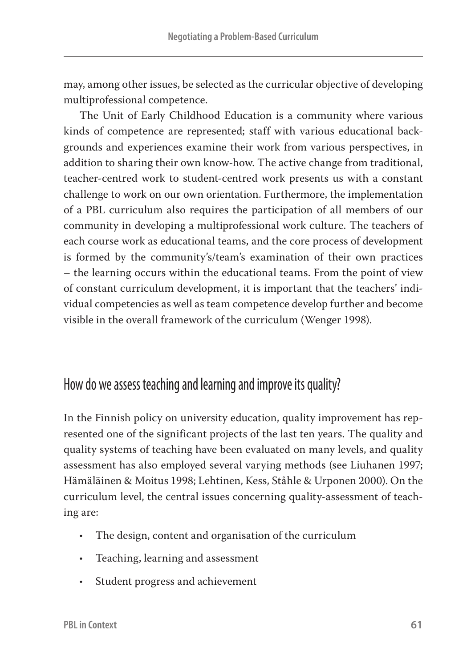may, among other issues, be selected as the curricular objective of developing multiprofessional competence.

The Unit of Early Childhood Education is a community where various kinds of competence are represented; staff with various educational backgrounds and experiences examine their work from various perspectives, in addition to sharing their own know-how. The active change from traditional, teacher-centred work to student-centred work presents us with a constant challenge to work on our own orientation. Furthermore, the implementation of a PBL curriculum also requires the participation of all members of our community in developing a multiprofessional work culture. The teachers of each course work as educational teams, and the core process of development is formed by the community's/team's examination of their own practices – the learning occurs within the educational teams. From the point of view of constant curriculum development, it is important that the teachers' individual competencies as well as team competence develop further and become visible in the overall framework of the curriculum (Wenger 1998).

### How do we assess teaching and learning and improve its quality?

In the Finnish policy on university education, quality improvement has represented one of the significant projects of the last ten years. The quality and quality systems of teaching have been evaluated on many levels, and quality assessment has also employed several varying methods (see Liuhanen 1997; Hämäläinen & Moitus 1998; Lehtinen, Kess, Ståhle & Urponen 2000). On the curriculum level, the central issues concerning quality-assessment of teaching are:

- **•** The design, content and organisation of the curriculum
- **•** Teaching, learning and assessment
- **•** Student progress and achievement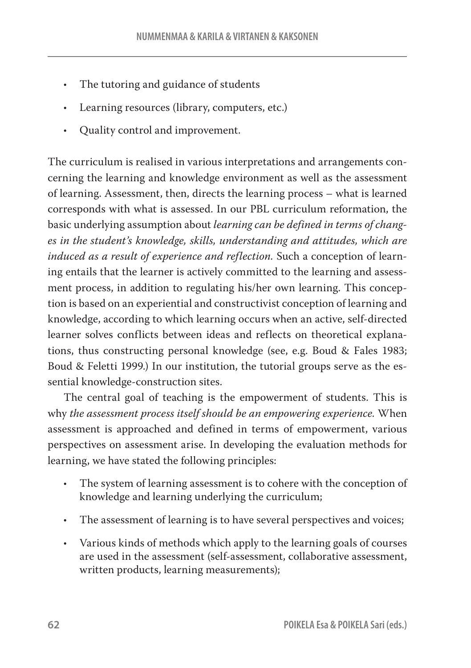- **•** The tutoring and guidance of students
- **•** Learning resources (library, computers, etc.)
- **•** Quality control and improvement.

The curriculum is realised in various interpretations and arrangements concerning the learning and knowledge environment as well as the assessment of learning. Assessment, then, directs the learning process – what is learned corresponds with what is assessed. In our PBL curriculum reformation, the basic underlying assumption about *learning can be defined in terms of changes in the student's knowledge, skills, understanding and attitudes, which are induced as a result of experience and reflection.* Such a conception of learning entails that the learner is actively committed to the learning and assessment process, in addition to regulating his/her own learning. This conception is based on an experiential and constructivist conception of learning and knowledge, according to which learning occurs when an active, self-directed learner solves conflicts between ideas and reflects on theoretical explanations, thus constructing personal knowledge (see, e.g. Boud & Fales 1983; Boud & Feletti 1999.) In our institution, the tutorial groups serve as the essential knowledge-construction sites.

The central goal of teaching is the empowerment of students. This is why *the assessment process itself should be an empowering experience.* When assessment is approached and defined in terms of empowerment, various perspectives on assessment arise. In developing the evaluation methods for learning, we have stated the following principles:

- **•** The system of learning assessment is to cohere with the conception of knowledge and learning underlying the curriculum;
- **•** The assessment of learning is to have several perspectives and voices;
- **•** Various kinds of methods which apply to the learning goals of courses are used in the assessment (self-assessment, collaborative assessment, written products, learning measurements);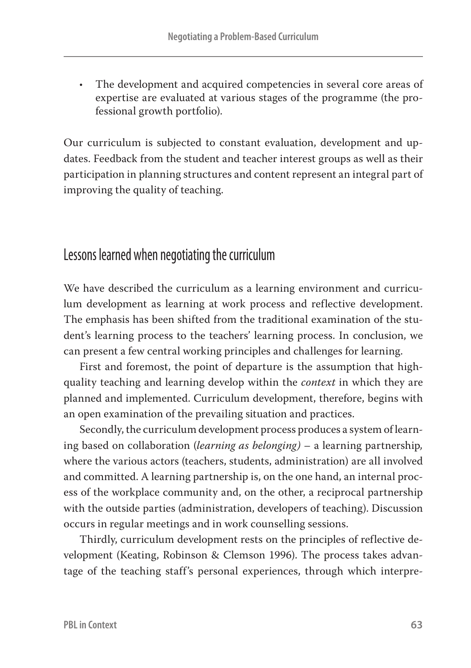**•** The development and acquired competencies in several core areas of expertise are evaluated at various stages of the programme (the professional growth portfolio).

Our curriculum is subjected to constant evaluation, development and updates. Feedback from the student and teacher interest groups as well as their participation in planning structures and content represent an integral part of improving the quality of teaching.

### Lessons learned when negotiating the curriculum

We have described the curriculum as a learning environment and curriculum development as learning at work process and reflective development. The emphasis has been shifted from the traditional examination of the student's learning process to the teachers' learning process. In conclusion, we can present a few central working principles and challenges for learning.

First and foremost, the point of departure is the assumption that highquality teaching and learning develop within the *context* in which they are planned and implemented. Curriculum development, therefore, begins with an open examination of the prevailing situation and practices.

Secondly, the curriculum development process produces a system of learning based on collaboration (*learning as belonging)* – a learning partnership*,*  where the various actors (teachers, students, administration) are all involved and committed. A learning partnership is, on the one hand, an internal process of the workplace community and, on the other, a reciprocal partnership with the outside parties (administration, developers of teaching). Discussion occurs in regular meetings and in work counselling sessions.

Thirdly, curriculum development rests on the principles of reflective development (Keating, Robinson & Clemson 1996). The process takes advantage of the teaching staff's personal experiences, through which interpre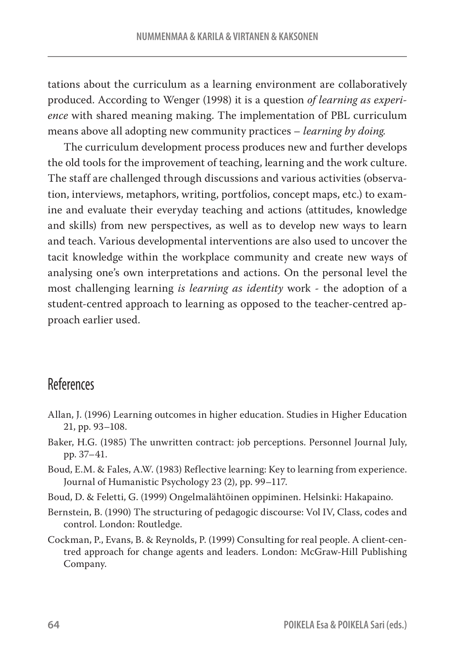tations about the curriculum as a learning environment are collaboratively produced. According to Wenger (1998) it is a question *of learning as experience* with shared meaning making. The implementation of PBL curriculum means above all adopting new community practices – *learning by doing.*

The curriculum development process produces new and further develops the old tools for the improvement of teaching, learning and the work culture. The staff are challenged through discussions and various activities (observation, interviews, metaphors, writing, portfolios, concept maps, etc.) to examine and evaluate their everyday teaching and actions (attitudes, knowledge and skills) from new perspectives, as well as to develop new ways to learn and teach. Various developmental interventions are also used to uncover the tacit knowledge within the workplace community and create new ways of analysing one's own interpretations and actions. On the personal level the most challenging learning *is learning as identity* work - the adoption of a student-centred approach to learning as opposed to the teacher-centred approach earlier used.

#### References

- Allan, J. (1996) Learning outcomes in higher education. Studies in Higher Education 21, pp. 93–108.
- Baker, H.G. (1985) The unwritten contract: job perceptions. Personnel Journal July, pp. 37–41.
- Boud, E.M. & Fales, A.W. (1983) Reflective learning: Key to learning from experience. Journal of Humanistic Psychology 23 (2), pp. 99–117.
- Boud, D. & Feletti, G. (1999) Ongelmalähtöinen oppiminen. Helsinki: Hakapaino.
- Bernstein, B. (1990) The structuring of pedagogic discourse: Vol IV, Class, codes and control. London: Routledge.
- Cockman, P., Evans, B. & Reynolds, P. (1999) Consulting for real people. A client-centred approach for change agents and leaders. London: McGraw-Hill Publishing Company.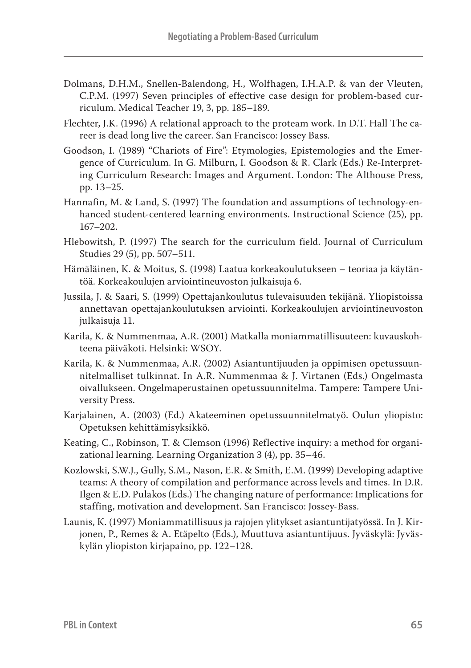- Dolmans, D.H.M., Snellen-Balendong, H., Wolfhagen, I.H.A.P. & van der Vleuten, C.P.M. (1997) Seven principles of effective case design for problem-based curriculum. Medical Teacher 19, 3, pp. 185–189.
- Flechter, J.K. (1996) A relational approach to the proteam work. In D.T. Hall The career is dead long live the career. San Francisco: Jossey Bass.
- Goodson, I. (1989) "Chariots of Fire": Etymologies, Epistemologies and the Emergence of Curriculum. In G. Milburn, I. Goodson & R. Clark (Eds.) Re-Interpreting Curriculum Research: Images and Argument. London: The Althouse Press, pp. 13–25.
- Hannafin, M. & Land, S. (1997) The foundation and assumptions of technology-enhanced student-centered learning environments. Instructional Science (25), pp. 167–202.
- Hlebowitsh, P. (1997) The search for the curriculum field. Journal of Curriculum Studies 29 (5), pp. 507–511.
- Hämäläinen, K. & Moitus, S. (1998) Laatua korkeakoulutukseen teoriaa ja käytäntöä. Korkeakoulujen arviointineuvoston julkaisuja 6.
- Jussila, J. & Saari, S. (1999) Opettajankoulutus tulevaisuuden tekijänä. Yliopistoissa annettavan opettajankoulutuksen arviointi. Korkeakoulujen arviointineuvoston julkaisuja 11.
- Karila, K. & Nummenmaa, A.R. (2001) Matkalla moniammatillisuuteen: kuvauskohteena päiväkoti. Helsinki: WSOY.
- Karila, K. & Nummenmaa, A.R. (2002) Asiantuntijuuden ja oppimisen opetussuunnitelmalliset tulkinnat. In A.R. Nummenmaa & J. Virtanen (Eds.) Ongelmasta oivallukseen. Ongelmaperustainen opetussuunnitelma. Tampere: Tampere University Press.
- Karjalainen, A. (2003) (Ed.) Akateeminen opetussuunnitelmatyö. Oulun yliopisto: Opetuksen kehittämisyksikkö.
- Keating, C., Robinson, T. & Clemson (1996) Reflective inquiry: a method for organizational learning. Learning Organization 3 (4), pp. 35–46.
- Kozlowski, S.W.J., Gully, S.M., Nason, E.R. & Smith, E.M. (1999) Developing adaptive teams: A theory of compilation and performance across levels and times. In D.R. Ilgen & E.D. Pulakos (Eds.) The changing nature of performance: Implications for staffing, motivation and development. San Francisco: Jossey-Bass.
- Launis, K. (1997) Moniammatillisuus ja rajojen ylitykset asiantuntijatyössä. In J. Kirjonen, P., Remes & A. Etäpelto (Eds.), Muuttuva asiantuntijuus. Jyväskylä: Jyväskylän yliopiston kirjapaino, pp. 122–128.